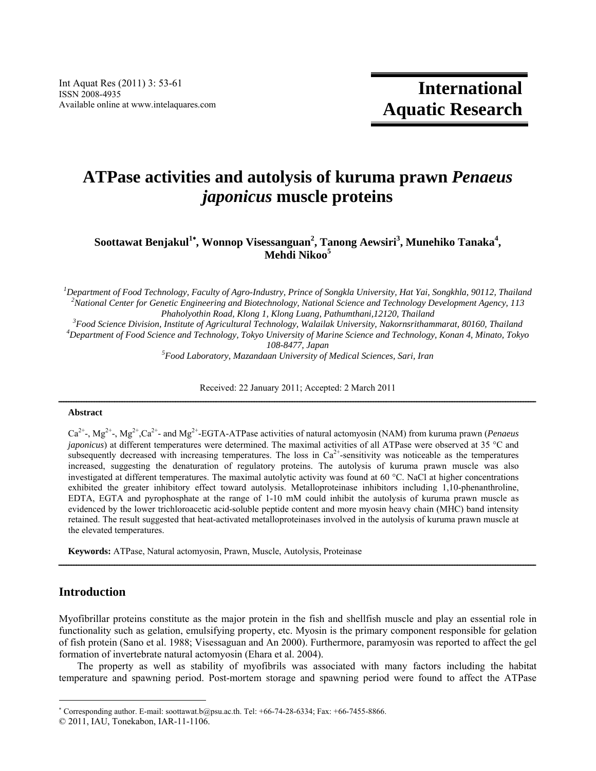# **ATPase activities and autolysis of kuruma prawn** *Penaeus japonicus* **muscle proteins**

 $S$ oottawat Benjakul<sup>1</sup>\*, Wonnop Visessanguan<sup>2</sup>, Tanong Aewsiri<sup>3</sup>, Munehiko Tanaka<sup>4</sup>, **Mehdi Nikoo<sup>5</sup>**

*1 Department of Food Technology, Faculty of Agro-Industry, Prince of Songkla University, Hat Yai, Songkhla, 90112, Thailand 2 National Center for Genetic Engineering and Biotechnology, National Science and Technology Development Agency, 113 Phaholyothin Road, Klong 1, Klong Luang, Pathumthani,12120, Thailand 3*

*Food Science Division, Institute of Agricultural Technology, Walailak University, Nakornsrithammarat, 80160, Thailand 4 Department of Food Science and Technology, Tokyo University of Marine Science and Technology, Konan 4, Minato, Tokyo 108-8477, Japan 5 Food Laboratory, Mazandaan University of Medical Sciences, Sari, Iran* 

Received: 22 January 2011; Accepted: 2 March 2011

# $A b struct \hat{a} = \hat{a} + \hat{b} = \hat{b}$

Ca2+-, Mg2+-, Mg2+,Ca2+- and Mg2+-EGTA-ATPase activities of natural actomyosin (NAM) from kuruma prawn (*Penaeus japonicus*) at different temperatures were determined. The maximal activities of all ATPase were observed at 35 °C and subsequently decreased with increasing temperatures. The loss in  $Ca^{2+}$ -sensitivity was noticeable as the temperatures increased, suggesting the denaturation of regulatory proteins. The autolysis of kuruma prawn muscle was also investigated at different temperatures. The maximal autolytic activity was found at 60 C. NaCl at higher concentrations exhibited the greater inhibitory effect toward autolysis. Metalloproteinase inhibitors including 1,10-phenanthroline, EDTA, EGTA and pyrophosphate at the range of 1-10 mM could inhibit the autolysis of kuruma prawn muscle as evidenced by the lower trichloroacetic acid-soluble peptide content and more myosin heavy chain (MHC) band intensity retained. The result suggested that heat-activated metalloproteinases involved in the autolysis of kuruma prawn muscle at the elevated temperatures.

**Keywords:** ATPase, Natural actomyosin, Prawn, Muscle, Autolysis, Proteinase

# **Introduction**

Myofibrillar proteins constitute as the major protein in the fish and shellfish muscle and play an essential role in functionality such as gelation, emulsifying property, etc. Myosin is the primary component responsible for gelation of fish protein (Sano et al. 1988; Visessaguan and An 2000). Furthermore, paramyosin was reported to affect the gel formation of invertebrate natural actomyosin (Ehara et al. 2004).

ــــــــــــــــــــــــــــــــــــــــــــــــــــــــــــــــــــــــــــــــــــــــــــــــــــــــــــــــــــــــــــــــــــــــــــــــــــــــــــــــــــــــــــــــــــــــــــ

The property as well as stability of myofibrils was associated with many factors including the habitat temperature and spawning period. Post-mortem storage and spawning period were found to affect the ATPase

<sup>\*</sup> Corresponding author. E-mail: soottawat.b@psu.ac.th. Tel:  $+66-74-28-6334$ ; Fax:  $+66-7455-8866$ .

<sup>© 2011,</sup> IAU, Tonekabon, IAR-11-1106.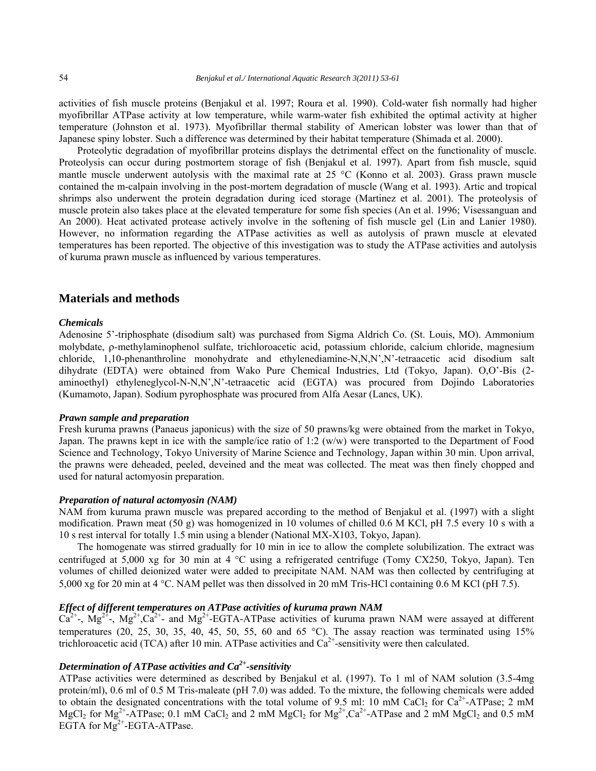activities of fish muscle proteins (Benjakul et al. 1997; Roura et al. 1990). Cold-water fish normally had higher myofibrillar ATPase activity at low temperature, while warm-water fish exhibited the optimal activity at higher temperature (Johnston et al. 1973). Myofibrillar thermal stability of American lobster was lower than that of Japanese spiny lobster. Such a difference was determined by their habitat temperature (Shimada et al. 2000).

Proteolytic degradation of myofibrillar proteins displays the detrimental effect on the functionality of muscle. Proteolysis can occur during postmortem storage of fish (Benjakul et al. 1997). Apart from fish muscle, squid mantle muscle underwent autolysis with the maximal rate at  $25 °C$  (Konno et al. 2003). Grass prawn muscle contained the m-calpain involving in the post-mortem degradation of muscle (Wang et al. 1993). Artic and tropical shrimps also underwent the protein degradation during iced storage (Martinez et al. 2001). The proteolysis of muscle protein also takes place at the elevated temperature for some fish species (An et al. 1996; Visessanguan and An 2000). Heat activated protease actively involve in the softening of fish muscle gel (Lin and Lanier 1980). However, no information regarding the ATPase activities as well as autolysis of prawn muscle at elevated temperatures has been reported. The objective of this investigation was to study the ATPase activities and autolysis of kuruma prawn muscle as influenced by various temperatures.

# **Materials and methods**

#### *Chemicals*

Adenosine 5'-triphosphate (disodium salt) was purchased from Sigma Aldrich Co. (St. Louis, MO). Ammonium molybdate,  $\rho$ -methylaminophenol sulfate, trichloroacetic acid, potassium chloride, calcium chloride, magnesium chloride, 1,10-phenanthroline monohydrate and ethylenediamine-N,N,N',N'-tetraacetic acid disodium salt dihydrate (EDTA) were obtained from Wako Pure Chemical Industries, Ltd (Tokyo, Japan). O,O'-Bis (2 aminoethyl) ethyleneglycol-N-N,N',N'-tetraacetic acid (EGTA) was procured from Dojindo Laboratories (Kumamoto, Japan). Sodium pyrophosphate was procured from Alfa Aesar (Lancs, UK).

#### *Prawn sample and preparation*

Fresh kuruma prawns (Panaeus japonicus) with the size of 50 prawns/kg were obtained from the market in Tokyo, Japan. The prawns kept in ice with the sample/ice ratio of 1:2 (w/w) were transported to the Department of Food Science and Technology, Tokyo University of Marine Science and Technology, Japan within 30 min. Upon arrival, the prawns were deheaded, peeled, deveined and the meat was collected. The meat was then finely chopped and used for natural actomyosin preparation.

#### *Preparation of natural actomyosin (NAM)*

NAM from kuruma prawn muscle was prepared according to the method of Benjakul et al. (1997) with a slight modification. Prawn meat (50 g) was homogenized in 10 volumes of chilled 0.6 M KCl, pH 7.5 every 10 s with a 10 s rest interval for totally 1.5 min using a blender (National MX-X103, Tokyo, Japan).

The homogenate was stirred gradually for 10 min in ice to allow the complete solubilization. The extract was centrifuged at 5,000 xg for 30 min at 4  $^{\circ}$ C using a refrigerated centrifuge (Tomy CX250, Tokyo, Japan). Ten volumes of chilled deionized water were added to precipitate NAM. NAM was then collected by centrifuging at 5,000 xg for 20 min at 4 C. NAM pellet was then dissolved in 20 mM Tris-HCl containing 0.6 M KCl (pH 7.5).

#### *Effect of different temperatures on ATPase activities of kuruma prawn NAM*

 $Ca^{2+}$ -,  $Mg^{2+}$ ,  $Mg^{2+}$ , $Ca^{2+}$ - and  $Mg^{2+}$ -EGTA-ATPase activities of kuruma prawn NAM were assayed at different temperatures  $(20, 25, 30, 35, 40, 45, 50, 55, 60, 40, 65, 60)$ . The assay reaction was terminated using  $15\%$ trichloroacetic acid (TCA) after 10 min. ATPase activities and  $Ca<sup>2+</sup>$ -sensitivity were then calculated.

# *Determination of ATPase activities and Ca2+-sensitivity*

ATPase activities were determined as described by Benjakul et al. (1997). To 1 ml of NAM solution (3.5-4mg protein/ml), 0.6 ml of 0.5 M Tris-maleate (pH 7.0) was added. To the mixture, the following chemicals were added to obtain the designated concentrations with the total volume of 9.5 ml: 10 mM CaCl<sub>2</sub> for Ca<sup>2+</sup>-ATPase; 2 mM MgCl<sub>2</sub> for Mg<sup>2+</sup>-ATPase; 0.1 mM CaCl<sub>2</sub> and 2 mM MgCl<sub>2</sub> for Mg<sup>2+</sup>,Ca<sup>2+</sup>-ATPase and 2 mM MgCl<sub>2</sub> and 0.5 mM EGTA for  $Mg^{2+}$ -EGTA-ATPase.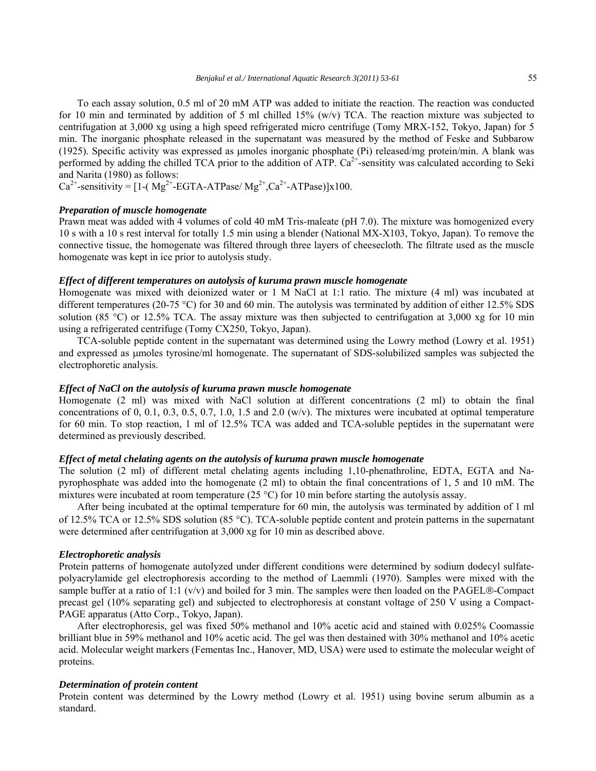To each assay solution, 0.5 ml of 20 mM ATP was added to initiate the reaction. The reaction was conducted for 10 min and terminated by addition of 5 ml chilled 15%  $(w/v)$  TCA. The reaction mixture was subjected to centrifugation at 3,000 xg using a high speed refrigerated micro centrifuge (Tomy MRX-152, Tokyo, Japan) for 5 min. The inorganic phosphate released in the supernatant was measured by the method of Feske and Subbarow (1925). Specific activity was expressed as moles inorganic phosphate (Pi) released/mg protein/min. A blank was performed by adding the chilled TCA prior to the addition of ATP.  $Ca^{2+}$ -sensitity was calculated according to Seki and Narita (1980) as follows:

 $Ca^{2+}$ -sensitivity = [1-( Mg<sup>2+</sup>-EGTA-ATPase/ Mg<sup>2+</sup>,  $Ca^{2+}$ -ATPase)]x100.

## *Preparation of muscle homogenate*

Prawn meat was added with 4 volumes of cold 40 mM Tris-maleate (pH 7.0). The mixture was homogenized every 10 s with a 10 s rest interval for totally 1.5 min using a blender (National MX-X103, Tokyo, Japan). To remove the connective tissue, the homogenate was filtered through three layers of cheesecloth. The filtrate used as the muscle homogenate was kept in ice prior to autolysis study.

#### *Effect of different temperatures on autolysis of kuruma prawn muscle homogenate*

Homogenate was mixed with deionized water or 1 M NaCl at 1:1 ratio. The mixture (4 ml) was incubated at different temperatures (20-75 °C) for 30 and 60 min. The autolysis was terminated by addition of either 12.5% SDS solution (85 °C) or 12.5% TCA. The assay mixture was then subjected to centrifugation at 3,000 xg for 10 min using a refrigerated centrifuge (Tomy CX250, Tokyo, Japan).

TCA-soluble peptide content in the supernatant was determined using the Lowry method (Lowry et al. 1951) and expressed as umoles tyrosine/ml homogenate. The supernatant of SDS-solubilized samples was subjected the electrophoretic analysis.

## *Effect of NaCl on the autolysis of kuruma prawn muscle homogenate*

Homogenate (2 ml) was mixed with NaCl solution at different concentrations (2 ml) to obtain the final concentrations of 0, 0.1, 0.3, 0.5, 0.7, 1.0, 1.5 and 2.0 (w/v). The mixtures were incubated at optimal temperature for 60 min. To stop reaction, 1 ml of 12.5% TCA was added and TCA-soluble peptides in the supernatant were determined as previously described.

#### *Effect of metal chelating agents on the autolysis of kuruma prawn muscle homogenate*

The solution (2 ml) of different metal chelating agents including 1,10-phenathroline, EDTA, EGTA and Napyrophosphate was added into the homogenate (2 ml) to obtain the final concentrations of 1, 5 and 10 mM. The mixtures were incubated at room temperature (25 °C) for 10 min before starting the autolysis assay.

After being incubated at the optimal temperature for 60 min, the autolysis was terminated by addition of 1 ml of 12.5% TCA or 12.5% SDS solution (85 °C). TCA-soluble peptide content and protein patterns in the supernatant were determined after centrifugation at 3,000 xg for 10 min as described above.

#### *Electrophoretic analysis*

Protein patterns of homogenate autolyzed under different conditions were determined by sodium dodecyl sulfatepolyacrylamide gel electrophoresis according to the method of Laemmli (1970). Samples were mixed with the sample buffer at a ratio of 1:1 ( $v/v$ ) and boiled for 3 min. The samples were then loaded on the PAGEL®-Compact precast gel (10% separating gel) and subjected to electrophoresis at constant voltage of 250 V using a Compact-PAGE apparatus (Atto Corp., Tokyo, Japan).

After electrophoresis, gel was fixed 50% methanol and 10% acetic acid and stained with 0.025% Coomassie brilliant blue in 59% methanol and 10% acetic acid. The gel was then destained with 30% methanol and 10% acetic acid. Molecular weight markers (Fementas Inc., Hanover, MD, USA) were used to estimate the molecular weight of proteins.

#### *Determination of protein content*

Protein content was determined by the Lowry method (Lowry et al. 1951) using bovine serum albumin as a standard.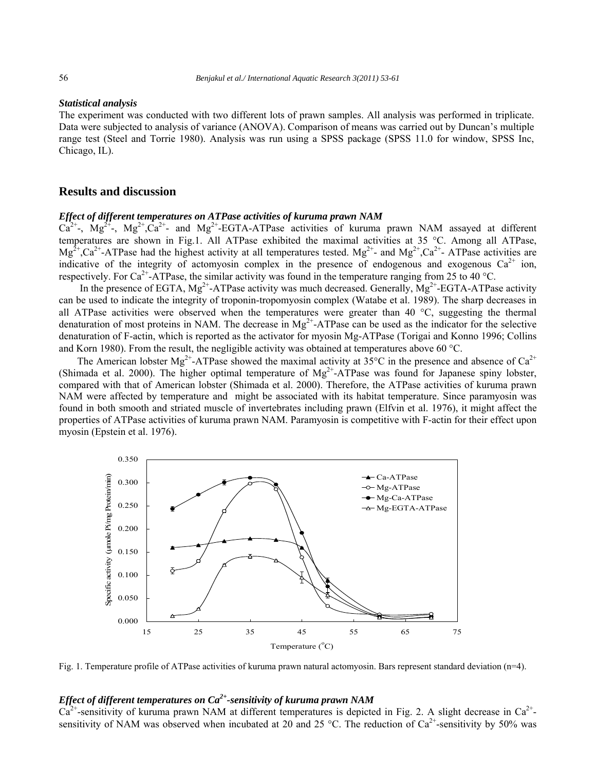#### *Statistical analysis*

The experiment was conducted with two different lots of prawn samples. All analysis was performed in triplicate. Data were subjected to analysis of variance (ANOVA). Comparison of means was carried out by Duncan's multiple range test (Steel and Torrie 1980). Analysis was run using a SPSS package (SPSS 11.0 for window, SPSS Inc, Chicago, IL).

# **Results and discussion**

#### *Effect of different temperatures on ATPase activities of kuruma prawn NAM*

 $Ca^{2+}$ ,  $Mg^{2+}$ ,  $Mg^{2+}$ ,  $Ca^{2+}$ - and  $Mg^{2+}$ -EGTA-ATPase activities of kuruma prawn NAM assayed at different temperatures are shown in Fig.1. All ATPase exhibited the maximal activities at 35 °C. Among all ATPase,  $Mg^{2+}$ ,  $Ca^{2+}-ATP$ ase had the highest activity at all temperatures tested.  $Mg^{2+}$  and  $Mg^{2+}$ ,  $Ca^{2+}-ATP$ ase activities are indicative of the integrity of actomyosin complex in the presence of endogenous and exogenous  $Ca^{2+}$  ion, respectively. For Ca<sup>2+</sup>-ATPase, the similar activity was found in the temperature ranging from 25 to 40 °C.

In the presence of EGTA,  $Mg^{2+}$ -ATPase activity was much decreased. Generally,  $Mg^{2+}$ -EGTA-ATPase activity can be used to indicate the integrity of troponin-tropomyosin complex (Watabe et al. 1989). The sharp decreases in all ATPase activities were observed when the temperatures were greater than 40  $^{\circ}$ C, suggesting the thermal denaturation of most proteins in NAM. The decrease in  $Mg^{2+}$ -ATPase can be used as the indicator for the selective denaturation of F-actin, which is reported as the activator for myosin Mg-ATPase (Torigai and Konno 1996; Collins and Korn 1980). From the result, the negligible activity was obtained at temperatures above 60  $^{\circ}$ C.

The American lobster Mg<sup>2+</sup>-ATPase showed the maximal activity at 35<sup>o</sup>C in the presence and absence of Ca<sup>2+</sup> (Shimada et al. 2000). The higher optimal temperature of  $Mg^{2+}$ -ATPase was found for Japanese spiny lobster, compared with that of American lobster (Shimada et al. 2000). Therefore, the ATPase activities of kuruma prawn NAM were affected by temperature and might be associated with its habitat temperature. Since paramyosin was found in both smooth and striated muscle of invertebrates including prawn (Elfvin et al. 1976), it might affect the properties of ATPase activities of kuruma prawn NAM. Paramyosin is competitive with F-actin for their effect upon myosin (Epstein et al. 1976).



Fig. 1. Temperature profile of ATPase activities of kuruma prawn natural actomyosin. Bars represent standard deviation (n=4).

# *Effect of different temperatures on Ca2+-sensitivity of kuruma prawn NAM*

 $Ca^{2+}$ -sensitivity of kuruma prawn NAM at different temperatures is depicted in Fig. 2. A slight decrease in  $Ca^{2+}$ sensitivity of NAM was observed when incubated at 20 and 25 °C. The reduction of  $Ca^{2+}$ -sensitivity by 50% was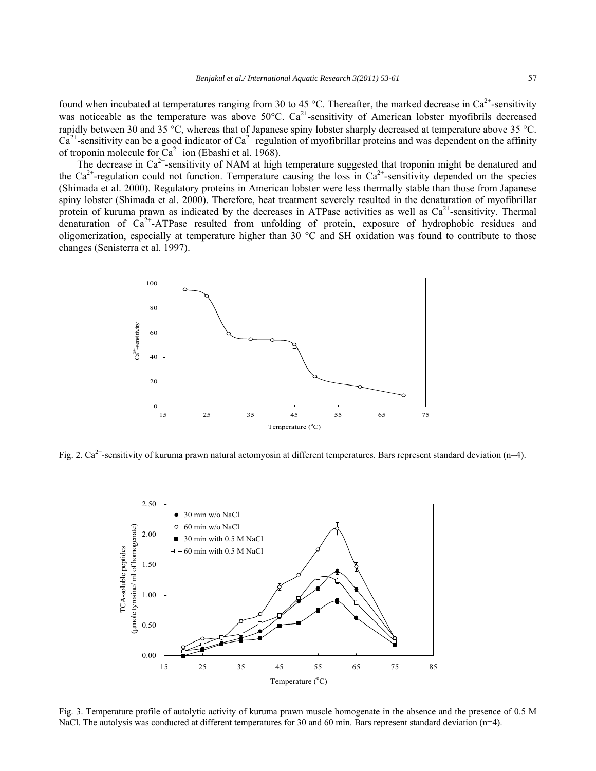found when incubated at temperatures ranging from 30 to 45 °C. Thereafter, the marked decrease in  $Ca^{2+}$ -sensitivity was noticeable as the temperature was above  $50^{\circ}$ C.  $Ca^{2+}$ -sensitivity of American lobster myofibrils decreased rapidly between 30 and 35 °C, whereas that of Japanese spiny lobster sharply decreased at temperature above 35 °C.  $Ca^{2+}$ -sensitivity can be a good indicator of  $Ca^{2+}$  regulation of myofibrillar proteins and was dependent on the affinity of troponin molecule for  $Ca^{2+}$  ion (Ebashi et al. 1968).

The decrease in  $Ca<sup>2+</sup>$ -sensitivity of NAM at high temperature suggested that troponin might be denatured and the  $Ca^{2+}$ -regulation could not function. Temperature causing the loss in  $Ca^{2+}$ -sensitivity depended on the species (Shimada et al. 2000). Regulatory proteins in American lobster were less thermally stable than those from Japanese spiny lobster (Shimada et al. 2000). Therefore, heat treatment severely resulted in the denaturation of myofibrillar protein of kuruma prawn as indicated by the decreases in ATPase activities as well as  $Ca^{2+}$ -sensitivity. Thermal denaturation of  $Ca^{2+}$ -ATPase resulted from unfolding of protein, exposure of hydrophobic residues and oligomerization, especially at temperature higher than 30  $^{\circ}$ C and SH oxidation was found to contribute to those changes (Senisterra et al. 1997).



Fig. 2.  $Ca^{2+}$ -sensitivity of kuruma prawn natural actomyosin at different temperatures. Bars represent standard deviation (n=4).



Fig. 3. Temperature profile of autolytic activity of kuruma prawn muscle homogenate in the absence and the presence of 0.5 M NaCl. The autolysis was conducted at different temperatures for 30 and 60 min. Bars represent standard deviation (n=4).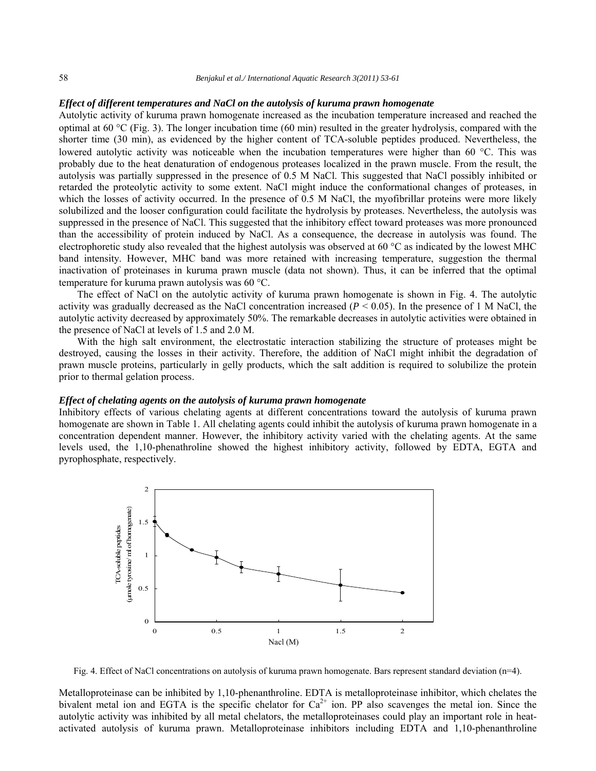## *Effect of different temperatures and NaCl on the autolysis of kuruma prawn homogenate*

Autolytic activity of kuruma prawn homogenate increased as the incubation temperature increased and reached the optimal at 60 °C (Fig. 3). The longer incubation time (60 min) resulted in the greater hydrolysis, compared with the shorter time (30 min), as evidenced by the higher content of TCA-soluble peptides produced. Nevertheless, the lowered autolytic activity was noticeable when the incubation temperatures were higher than 60 °C. This was probably due to the heat denaturation of endogenous proteases localized in the prawn muscle. From the result, the autolysis was partially suppressed in the presence of 0.5 M NaCl. This suggested that NaCl possibly inhibited or retarded the proteolytic activity to some extent. NaCl might induce the conformational changes of proteases, in which the losses of activity occurred. In the presence of 0.5 M NaCl, the myofibrillar proteins were more likely solubilized and the looser configuration could facilitate the hydrolysis by proteases. Nevertheless, the autolysis was suppressed in the presence of NaCl. This suggested that the inhibitory effect toward proteases was more pronounced than the accessibility of protein induced by NaCl. As a consequence, the decrease in autolysis was found. The electrophoretic study also revealed that the highest autolysis was observed at 60  $^{\circ}$ C as indicated by the lowest MHC band intensity. However, MHC band was more retained with increasing temperature, suggestion the thermal inactivation of proteinases in kuruma prawn muscle (data not shown). Thus, it can be inferred that the optimal temperature for kuruma prawn autolysis was  $60^{\circ}$ C.

The effect of NaCl on the autolytic activity of kuruma prawn homogenate is shown in Fig. 4. The autolytic activity was gradually decreased as the NaCl concentration increased  $(P < 0.05)$ . In the presence of 1 M NaCl, the autolytic activity decreased by approximately 50%. The remarkable decreases in autolytic activities were obtained in the presence of NaCl at levels of 1.5 and 2.0 M.

With the high salt environment, the electrostatic interaction stabilizing the structure of proteases might be destroyed, causing the losses in their activity. Therefore, the addition of NaCl might inhibit the degradation of prawn muscle proteins, particularly in gelly products, which the salt addition is required to solubilize the protein prior to thermal gelation process.

#### *Effect of chelating agents on the autolysis of kuruma prawn homogenate*

Inhibitory effects of various chelating agents at different concentrations toward the autolysis of kuruma prawn homogenate are shown in Table 1. All chelating agents could inhibit the autolysis of kuruma prawn homogenate in a concentration dependent manner. However, the inhibitory activity varied with the chelating agents. At the same levels used, the 1,10-phenathroline showed the highest inhibitory activity, followed by EDTA, EGTA and pyrophosphate, respectively.



Fig. 4. Effect of NaCl concentrations on autolysis of kuruma prawn homogenate. Bars represent standard deviation (n=4).

Metalloproteinase can be inhibited by 1,10-phenanthroline. EDTA is metalloproteinase inhibitor, which chelates the bivalent metal ion and EGTA is the specific chelator for  $Ca^{2+}$  ion. PP also scavenges the metal ion. Since the autolytic activity was inhibited by all metal chelators, the metalloproteinases could play an important role in heatactivated autolysis of kuruma prawn. Metalloproteinase inhibitors including EDTA and 1,10-phenanthroline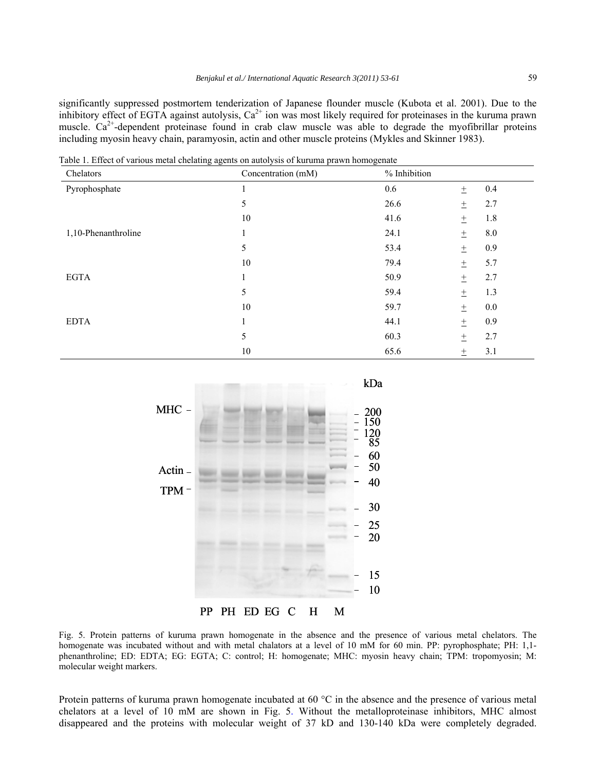significantly suppressed postmortem tenderization of Japanese flounder muscle (Kubota et al. 2001). Due to the inhibitory effect of EGTA against autolysis,  $Ca^{2+}$  ion was most likely required for proteinases in the kuruma prawn muscle.  $Ca^{2+}$ -dependent proteinase found in crab claw muscle was able to degrade the myofibrillar proteins including myosin heavy chain, paramyosin, actin and other muscle proteins (Mykles and Skinner 1983).

| able 1. Effect of various mean enclating agence on advorgers of Karama prawn homogenate<br>Chelators | Concentration (mM) | % Inhibition |        |         |
|------------------------------------------------------------------------------------------------------|--------------------|--------------|--------|---------|
| Pyrophosphate                                                                                        |                    | 0.6          | $\pm$  | 0.4     |
|                                                                                                      | 5                  | 26.6         | $\pm$  | 2.7     |
|                                                                                                      | 10                 | 41.6         | $\pm$  | 1.8     |
| 1,10-Phenanthroline                                                                                  |                    | 24.1         | $\pm$  | $8.0\,$ |
|                                                                                                      | 5                  | 53.4         | $\pm$  | 0.9     |
|                                                                                                      | 10                 | 79.4         | $\pm$  | 5.7     |
| <b>EGTA</b>                                                                                          |                    | 50.9         | $\pm$  | 2.7     |
|                                                                                                      | 5                  | 59.4         | $\pm$  | 1.3     |
|                                                                                                      | 10                 | 59.7         | $\pm$  | 0.0     |
| <b>EDTA</b>                                                                                          | 1                  | 44.1         | $\pm$  | 0.9     |
|                                                                                                      | 5                  | 60.3         | $\pm$  | 2.7     |
|                                                                                                      | 10                 | 65.6         | $^{+}$ | 3.1     |

Table 1. Effect of various metal chelating agents on autolysis of kuruma prawn homogenate



Fig. 5. Protein patterns of kuruma prawn homogenate in the absence and the presence of various metal chelators. The homogenate was incubated without and with metal chalators at a level of 10 mM for 60 min. PP: pyrophosphate; PH: 1,1phenanthroline; ED: EDTA; EG: EGTA; C: control; H: homogenate; MHC: myosin heavy chain; TPM: tropomyosin; M: molecular weight markers.

Protein patterns of kuruma prawn homogenate incubated at 60  $^{\circ}$ C in the absence and the presence of various metal chelators at a level of 10 mM are shown in Fig. 5. Without the metalloproteinase inhibitors, MHC almost disappeared and the proteins with molecular weight of 37 kD and 130-140 kDa were completely degraded.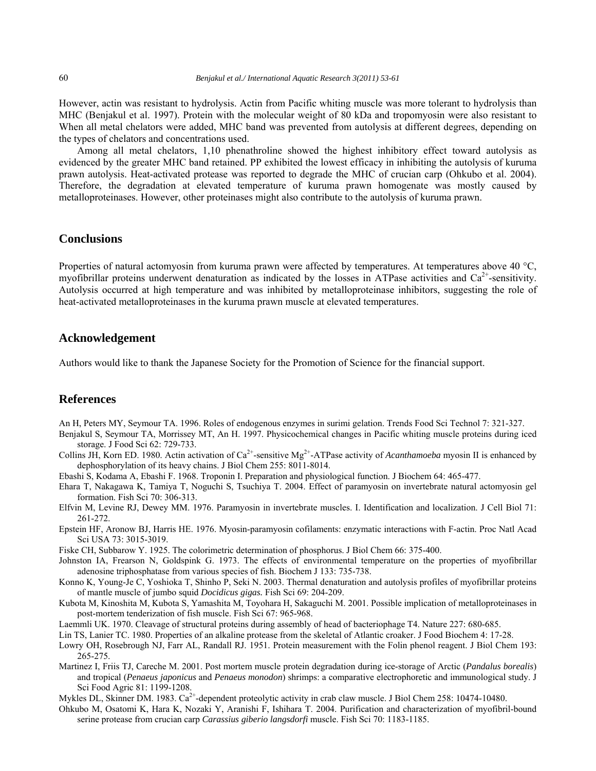However, actin was resistant to hydrolysis. Actin from Pacific whiting muscle was more tolerant to hydrolysis than MHC (Benjakul et al. 1997). Protein with the molecular weight of 80 kDa and tropomyosin were also resistant to When all metal chelators were added, MHC band was prevented from autolysis at different degrees, depending on the types of chelators and concentrations used.

Among all metal chelators, 1,10 phenathroline showed the highest inhibitory effect toward autolysis as evidenced by the greater MHC band retained. PP exhibited the lowest efficacy in inhibiting the autolysis of kuruma prawn autolysis. Heat-activated protease was reported to degrade the MHC of crucian carp (Ohkubo et al. 2004). Therefore, the degradation at elevated temperature of kuruma prawn homogenate was mostly caused by metalloproteinases. However, other proteinases might also contribute to the autolysis of kuruma prawn.

# **Conclusions**

Properties of natural actomyosin from kuruma prawn were affected by temperatures. At temperatures above 40  $^{\circ}C$ , myofibrillar proteins underwent denaturation as indicated by the losses in ATPase activities and  $Ca<sup>2+</sup>$ -sensitivity. Autolysis occurred at high temperature and was inhibited by metalloproteinase inhibitors, suggesting the role of heat-activated metalloproteinases in the kuruma prawn muscle at elevated temperatures.

# **Acknowledgement**

Authors would like to thank the Japanese Society for the Promotion of Science for the financial support.

# **References**

An H, Peters MY, Seymour TA. 1996. Roles of endogenous enzymes in surimi gelation. Trends Food Sci Technol 7: 321-327.

- Benjakul S, Seymour TA, Morrissey MT, An H. 1997. Physicochemical changes in Pacific whiting muscle proteins during iced storage. J Food Sci 62: 729-733.
- Collins JH, Korn ED. 1980. Actin activation of  $Ca^{2+}$ -sensitive Mg<sup>2+</sup>-ATPase activity of *Acanthamoeba* myosin II is enhanced by dephosphorylation of its heavy chains. J Biol Chem 255: 8011-8014.
- Ebashi S, Kodama A, Ebashi F. 1968. Troponin I. Preparation and physiological function. J Biochem 64: 465-477.
- Ehara T, Nakagawa K, Tamiya T, Noguchi S, Tsuchiya T. 2004. Effect of paramyosin on invertebrate natural actomyosin gel formation. Fish Sci 70: 306-313.
- Elfvin M, Levine RJ, Dewey MM. 1976. Paramyosin in invertebrate muscles. I. Identification and localization. J Cell Biol 71: 261-272.
- Epstein HF, Aronow BJ, Harris HE. 1976. Myosin-paramyosin cofilaments: enzymatic interactions with F-actin. Proc Natl Acad Sci USA 73: 3015-3019.
- Fiske CH, Subbarow Y. 1925. The colorimetric determination of phosphorus. J Biol Chem 66: 375-400.
- Johnston IA, Frearson N, Goldspink G. 1973. The effects of environmental temperature on the properties of myofibrillar adenosine triphosphatase from various species of fish. Biochem J 133: 735-738.

Konno K, Young-Je C, Yoshioka T, Shinho P, Seki N. 2003. Thermal denaturation and autolysis profiles of myofibrillar proteins of mantle muscle of jumbo squid *Docidicus gigas.* Fish Sci 69: 204-209.

- Kubota M, Kinoshita M, Kubota S, Yamashita M, Toyohara H, Sakaguchi M. 2001. Possible implication of metalloproteinases in post-mortem tenderization of fish muscle. Fish Sci 67: 965-968.
- Laemmli UK. 1970. Cleavage of structural proteins during assembly of head of bacteriophage T4. Nature 227: 680-685.
- Lin TS, Lanier TC. 1980. Properties of an alkaline protease from the skeletal of Atlantic croaker. J Food Biochem 4: 17-28.
- Lowry OH, Rosebrough NJ, Farr AL, Randall RJ. 1951. Protein measurement with the Folin phenol reagent. J Biol Chem 193: 265-275.
- Martinez I, Friis TJ, Careche M. 2001. Post mortem muscle protein degradation during ice-storage of Arctic (*Pandalus borealis*) and tropical (*Penaeus japonicus* and *Penaeus monodon*) shrimps: a comparative electrophoretic and immunological study. J Sci Food Agric 81: 1199-1208.
- Mykles DL, Skinner DM. 1983.  $Ca^{2+}$ -dependent proteolytic activity in crab claw muscle. J Biol Chem 258: 10474-10480.
- Ohkubo M, Osatomi K, Hara K, Nozaki Y, Aranishi F, Ishihara T. 2004. Purification and characterization of myofibril-bound serine protease from crucian carp *Carassius giberio langsdorfi* muscle. Fish Sci 70: 1183-1185.